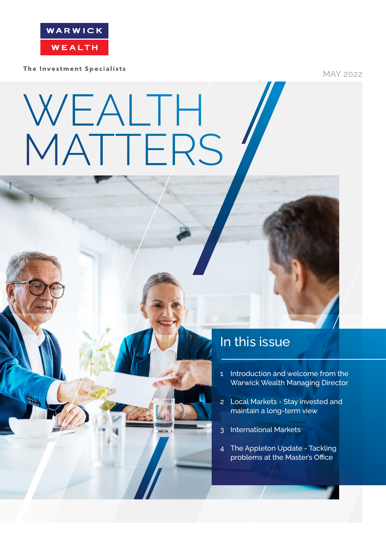

The Investment Specialists

MAY 2022

# WEALTH MATTERS

### In this issue

- 1 Introduction and welcome from the Warwick Wealth Managing Director
- 2 Local Markets Stay invested and maintain a long-term view
- 3 International Markets
- 4 The Appleton Update Tackling problems at the Master's Office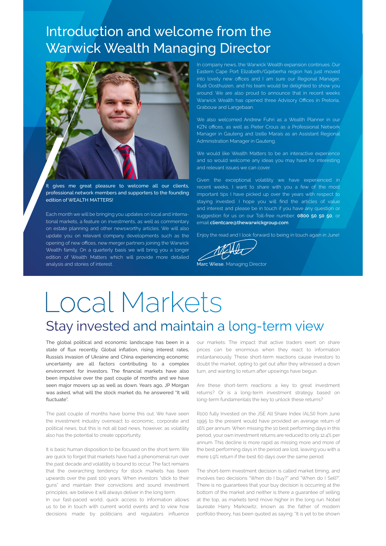## Introduction and welcome from the Warwick Wealth Managing Director



It gives me great pleasure to welcome all our clients, professional network members and supporters to the founding edition of WEALTH MATTERS!

Each month we will be bringing you updates on local and international markets, a feature on investments, as well as commentary on estate planning and other newsworthy articles. We will also update you on relevant company developments such as the opening of new offices, new merger partners joining the Warwick Wealth family. On a quarterly basis we will bring you a longer edition of Wealth Matters which will provide more detailed analysis and stories of interest.

In company news, the Warwick Wealth expansion continues. Our Eastern Cape Port Elizabeth/Gqeberha region has just moved into lovely new offices and I am sure our Regional Manager, Rudi Oosthuizen, and his team would be delighted to show you around. We are also proud to announce that in recent weeks Warwick Wealth has opened three Advisory Offices in Pretoria, Grabouw and Langebaan.

We also welcomed Andrew Fuhri as a Wealth Planner in our KZN offices, as well as Pieter Crous as a Professional Network Manager in Gauteng and Izelle Marais as an Assistant Regional Administration Manager in Gauteng.

We would like Wealth Matters to be an interactive experience and so would welcome any ideas you may have for interesting and relevant issues we can cover.

Given the exceptional volatility we have experienced in recent weeks, I want to share with you a few of the most important tips I have picked up over the years with respect to staying invested. I hope you will find the articles of value and interest and please be in touch if you have any question or suggestion for us on our Toll-free number: 0800 50 50 50, or email clientcare@thewarwickgroup.com

Enjoy the read and I look forward to being in touch again in June!

Marc Wiese, Managing Director

# Local Markets Stay invested and maintain a long-term view

The global political and economic landscape has been in a state of flux recently. Global inflation, rising interest rates, Russia's invasion of Ukraine and China experiencing economic uncertainty are all factors contributing to a complex environment for investors. The financial markets have also been impulsive over the past couple of months and we have seen major movers up as well as down. Years ago, JP Morgan was asked, what will the stock market do, he answered "It will fluctuate".

The past couple of months have borne this out. We have seen the investment industry overreact to economic, corporate and political news, but this is not all bad news, however, as volatility also has the potential to create opportunity.

It is basic human disposition to be focused on the short term. We are quick to forget that markets have had a phenomenal run over the past decade and volatility is bound to occur. The fact remains that the overarching tendency for stock markets has been upwards over the past 100 years. When investors "stick to their guns" and maintain their convictions and sound investment principles, we believe it will always deliver in the long term.

In our fast-paced world, quick access to information allows us to be in touch with current world events and to view how decisions made by politicians and regulators influence

our markets. The impact that active traders exert on share prices can be enormous when they react to information instantaneously. These short-term reactions cause investors to doubt the market, opting to get out after they witnessed a down turn, and wanting to return after upswings have begun.

Are these short-term reactions a key to great investment returns? Or is a long-term investment strategy based on long-term fundamentals the key to unlock these returns?

R100 fully Invested on the JSE All Share Index (ALSI) from June 1995 to the present would have provided an average return of 16% per annum. When missing the 10 best performing days in this period, your own investment returns are reduced to only 12.4% per annum. This decline is more rapid as missing more and more of the best performing days in the period are lost, leaving you with a mere 1.9% return if the best 60 days over the same period.

The short-term investment decision is called market timing, and involves two decisions "When do I buy?" and "When do I Sell?". There is no guarantees that your buy decision is occurring at the bottom of the market and neither is there a guarantee of selling at the top, as markets tend move higher in the long run. Nobel laureate Harry Markowitz, known as the father of modern portfolio theory, has been quoted as saying: "It is yet to be shown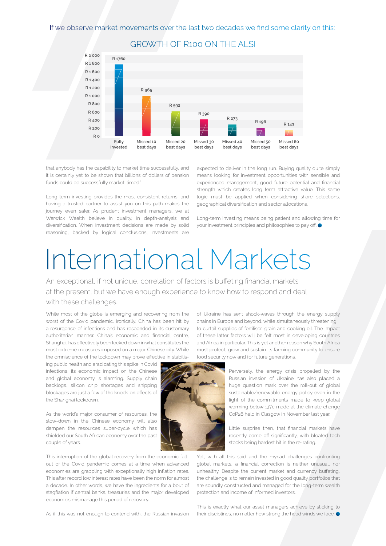

GROWTH OF R100 ON THE ALSI

that anybody has the capability to market time successfully, and it is certainly yet to be shown that billions of dollars of pension funds could be successfully market-timed."

Long-term investing provides the most consistent returns, and having a trusted partner to assist you on this path makes the journey even safer. As prudent investment managers, we at Warwick Wealth believe in quality, in depth-analysis and diversification. When investment decisions are made by solid reasoning, backed by logical conclusions, investments are

expected to deliver in the long run. Buying quality quite simply means looking for investment opportunities with sensible and experienced management, good future potential and financial strength which creates long term attractive value. This same logic must be applied when considering share selections, geographical diversification and sector allocations.

Long-term investing means being patient and allowing time for your investment principles and philosophies to pay off.

# International Markets

An exceptional, if not unique, correlation of factors is buffeting financial markets at the present, but we have enough experience to know how to respond and deal with these challenges.

While most of the globe is emerging and recovering from the worst of the Covid pandemic, ironically, China has been hit by a resurgence of infections and has responded in its customary authoritarian manner. China's economic and financial centre, Shanghai, has effectively been locked down in what constitutes the most extreme measures imposed on a major Chinese city. While the omniscience of the lockdown may prove effective in stabilis-

ing public health and eradicating this spike in Covid infections, its economic impact on the Chinese and global economy is alarming. Supply chain backlogs, silicon chip shortages and shipping blockages are just a few of the knock-on effects of the Shanghai lockdown.

As the world's major consumer of resources, the slow-down in the Chinese economy will also dampen the resources super-cycle which has shielded our South African economy over the past couple of years.

This interruption of the global recovery from the economic fallout of the Covid pandemic comes at a time when advanced economies are grappling with exceptionally high inflation rates. This after record low interest rates have been the norm for almost a decade. In other words, we have the ingredients for a bout of stagflation if central banks, treasuries and the major developed economies mismanage this period of recovery.

of Ukraine has sent shock-waves through the energy supply chains in Europe and beyond, while simultaneously threatening to curtail supplies of fertiliser, grain and cooking oil. The impact of these latter factors will be felt most in developing countries and Africa in particular. This is yet another reason why South Africa must protect, grow and sustain its farming community to ensure food security now and for future generations.



Perversely, the energy crisis propelled by the Russian invasion of Ukraine has also placed a huge question mark over the roll-out of global sustainable/renewable energy policy even in the light of the commitments made to keep global warming below 1,5°c made at the climate change CoP26 held in Glasgow in November last year.

Little surprise then, that financial markets have recently come off significantly, with bloated tech stocks being hardest hit in the re-rating.

Yet, with all this said and the myriad challenges confronting global markets, a financial correction is neither unusual, nor unhealthy. Despite the current market and currency buffeting, the challenge is to remain invested in good quality portfolios that are soundly constructed and managed for the long-term wealth protection and income of informed investors.

As if this was not enough to contend with, the Russian invasion

This is exactly what our asset managers achieve by sticking to their disciplines, no matter how strong the head winds we face.  $\bullet$